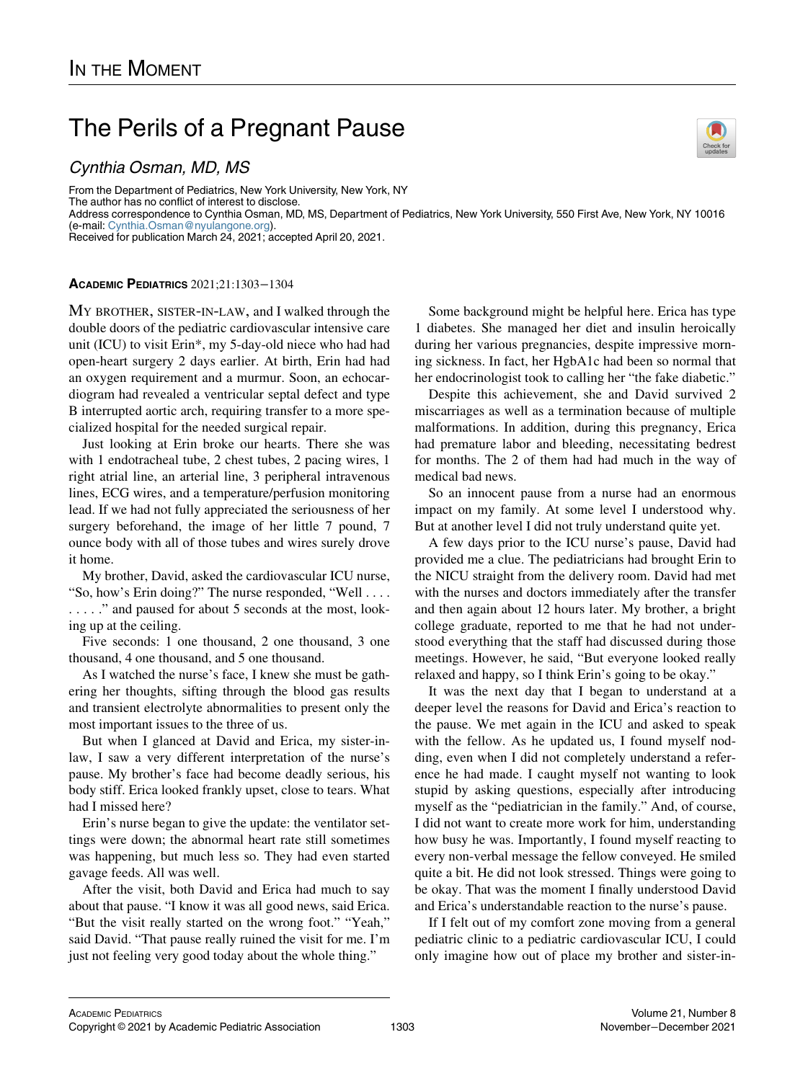## The Perils of a Pregnant Pause

## Cynthia Osman, MD, MS

From the Department of Pediatrics, New York University, New York, NY The author has no conflict of interest to disclose. Address correspondence to Cynthia Osman, MD, MS, Department of Pediatrics, New York University, 550 First Ave, New York, NY 10016 (e-mail: [Cynthia.Osman@nyulangone.org](mailto:Cynthia.Osman@nyulangone.org)). Received for publication March 24, 2021; accepted April 20, 2021.

## ACADEMIC PEDIATRICS 2021;21:1303−1304

MY BROTHER, SISTER-IN-LAW, and I walked through the double doors of the pediatric cardiovascular intensive care unit (ICU) to visit Erin\*, my 5-day-old niece who had had open-heart surgery 2 days earlier. At birth, Erin had had an oxygen requirement and a murmur. Soon, an echocardiogram had revealed a ventricular septal defect and type B interrupted aortic arch, requiring transfer to a more specialized hospital for the needed surgical repair.

Just looking at Erin broke our hearts. There she was with 1 endotracheal tube, 2 chest tubes, 2 pacing wires, 1 right atrial line, an arterial line, 3 peripheral intravenous lines, ECG wires, and a temperature/perfusion monitoring lead. If we had not fully appreciated the seriousness of her surgery beforehand, the image of her little 7 pound, 7 ounce body with all of those tubes and wires surely drove it home.

My brother, David, asked the cardiovascular ICU nurse, "So, how's Erin doing?" The nurse responded, "Well .... . . . . . " and paused for about 5 seconds at the most, looking up at the ceiling.

Five seconds: 1 one thousand, 2 one thousand, 3 one thousand, 4 one thousand, and 5 one thousand.

As I watched the nurse's face, I knew she must be gathering her thoughts, sifting through the blood gas results and transient electrolyte abnormalities to present only the most important issues to the three of us.

But when I glanced at David and Erica, my sister-inlaw, I saw a very different interpretation of the nurse's pause. My brother's face had become deadly serious, his body stiff. Erica looked frankly upset, close to tears. What had I missed here?

Erin's nurse began to give the update: the ventilator settings were down; the abnormal heart rate still sometimes was happening, but much less so. They had even started gavage feeds. All was well.

After the visit, both David and Erica had much to say about that pause. "I know it was all good news, said Erica. "But the visit really started on the wrong foot." "Yeah," said David. "That pause really ruined the visit for me. I'm just not feeling very good today about the whole thing."

Some background might be helpful here. Erica has type 1 diabetes. She managed her diet and insulin heroically during her various pregnancies, despite impressive morning sickness. In fact, her HgbA1c had been so normal that her endocrinologist took to calling her "the fake diabetic."

Despite this achievement, she and David survived 2 miscarriages as well as a termination because of multiple malformations. In addition, during this pregnancy, Erica had premature labor and bleeding, necessitating bedrest for months. The 2 of them had had much in the way of medical bad news.

So an innocent pause from a nurse had an enormous impact on my family. At some level I understood why. But at another level I did not truly understand quite yet.

A few days prior to the ICU nurse's pause, David had provided me a clue. The pediatricians had brought Erin to the NICU straight from the delivery room. David had met with the nurses and doctors immediately after the transfer and then again about 12 hours later. My brother, a bright college graduate, reported to me that he had not understood everything that the staff had discussed during those meetings. However, he said, "But everyone looked really relaxed and happy, so I think Erin's going to be okay."

It was the next day that I began to understand at a deeper level the reasons for David and Erica's reaction to the pause. We met again in the ICU and asked to speak with the fellow. As he updated us, I found myself nodding, even when I did not completely understand a reference he had made. I caught myself not wanting to look stupid by asking questions, especially after introducing myself as the "pediatrician in the family." And, of course, I did not want to create more work for him, understanding how busy he was. Importantly, I found myself reacting to every non-verbal message the fellow conveyed. He smiled quite a bit. He did not look stressed. Things were going to be okay. That was the moment I finally understood David and Erica's understandable reaction to the nurse's pause.

If I felt out of my comfort zone moving from a general pediatric clinic to a pediatric cardiovascular ICU, I could only imagine how out of place my brother and sister-in-